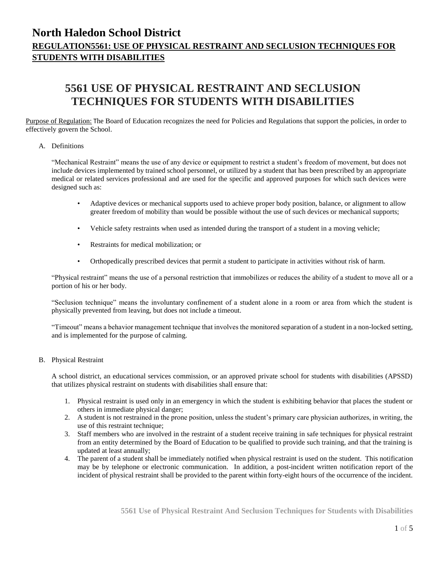# **5561 USE OF PHYSICAL RESTRAINT AND SECLUSION TECHNIQUES FOR STUDENTS WITH DISABILITIES**

Purpose of Regulation: The Board of Education recognizes the need for Policies and Regulations that support the policies, in order to effectively govern the School.

#### A. Definitions

"Mechanical Restraint" means the use of any device or equipment to restrict a student's freedom of movement, but does not include devices implemented by trained school personnel, or utilized by a student that has been prescribed by an appropriate medical or related services professional and are used for the specific and approved purposes for which such devices were designed such as:

- Adaptive devices or mechanical supports used to achieve proper body position, balance, or alignment to allow greater freedom of mobility than would be possible without the use of such devices or mechanical supports;
- Vehicle safety restraints when used as intended during the transport of a student in a moving vehicle;
- Restraints for medical mobilization; or
- Orthopedically prescribed devices that permit a student to participate in activities without risk of harm.

"Physical restraint" means the use of a personal restriction that immobilizes or reduces the ability of a student to move all or a portion of his or her body.

"Seclusion technique" means the involuntary confinement of a student alone in a room or area from which the student is physically prevented from leaving, but does not include a timeout.

"Timeout" means a behavior management technique that involves the monitored separation of a student in a non-locked setting, and is implemented for the purpose of calming.

#### B. Physical Restraint

A school district, an educational services commission, or an approved private school for students with disabilities (APSSD) that utilizes physical restraint on students with disabilities shall ensure that:

- 1. Physical restraint is used only in an emergency in which the student is exhibiting behavior that places the student or others in immediate physical danger;
- 2. A student is not restrained in the prone position, unless the student's primary care physician authorizes, in writing, the use of this restraint technique;
- 3. Staff members who are involved in the restraint of a student receive training in safe techniques for physical restraint from an entity determined by the Board of Education to be qualified to provide such training, and that the training is updated at least annually;
- 4. The parent of a student shall be immediately notified when physical restraint is used on the student. This notification may be by telephone or electronic communication. In addition, a post-incident written notification report of the incident of physical restraint shall be provided to the parent within forty-eight hours of the occurrence of the incident.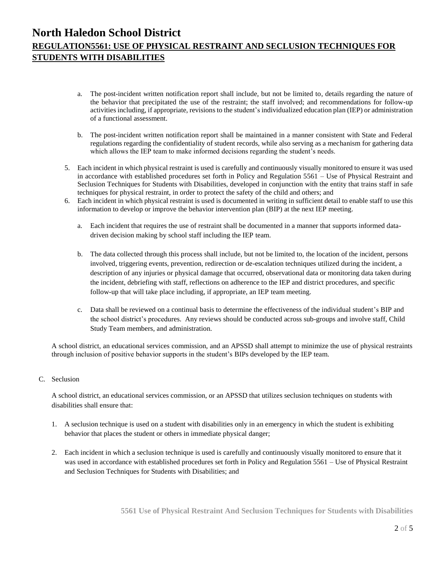- a. The post-incident written notification report shall include, but not be limited to, details regarding the nature of the behavior that precipitated the use of the restraint; the staff involved; and recommendations for follow-up activities including, if appropriate, revisions to the student's individualized education plan (IEP) or administration of a functional assessment.
- b. The post-incident written notification report shall be maintained in a manner consistent with State and Federal regulations regarding the confidentiality of student records, while also serving as a mechanism for gathering data which allows the IEP team to make informed decisions regarding the student's needs.
- 5. Each incident in which physical restraint is used is carefully and continuously visually monitored to ensure it was used in accordance with established procedures set forth in Policy and Regulation 5561 – Use of Physical Restraint and Seclusion Techniques for Students with Disabilities, developed in conjunction with the entity that trains staff in safe techniques for physical restraint, in order to protect the safety of the child and others; and
- 6. Each incident in which physical restraint is used is documented in writing in sufficient detail to enable staff to use this information to develop or improve the behavior intervention plan (BIP) at the next IEP meeting.
	- a. Each incident that requires the use of restraint shall be documented in a manner that supports informed datadriven decision making by school staff including the IEP team.
	- b. The data collected through this process shall include, but not be limited to, the location of the incident, persons involved, triggering events, prevention, redirection or de-escalation techniques utilized during the incident, a description of any injuries or physical damage that occurred, observational data or monitoring data taken during the incident, debriefing with staff, reflections on adherence to the IEP and district procedures, and specific follow-up that will take place including, if appropriate, an IEP team meeting.
	- c. Data shall be reviewed on a continual basis to determine the effectiveness of the individual student's BIP and the school district's procedures. Any reviews should be conducted across sub-groups and involve staff, Child Study Team members, and administration.

A school district, an educational services commission, and an APSSD shall attempt to minimize the use of physical restraints through inclusion of positive behavior supports in the student's BIPs developed by the IEP team.

### C. Seclusion

A school district, an educational services commission, or an APSSD that utilizes seclusion techniques on students with disabilities shall ensure that:

- 1. A seclusion technique is used on a student with disabilities only in an emergency in which the student is exhibiting behavior that places the student or others in immediate physical danger;
- 2. Each incident in which a seclusion technique is used is carefully and continuously visually monitored to ensure that it was used in accordance with established procedures set forth in Policy and Regulation 5561 – Use of Physical Restraint and Seclusion Techniques for Students with Disabilities; and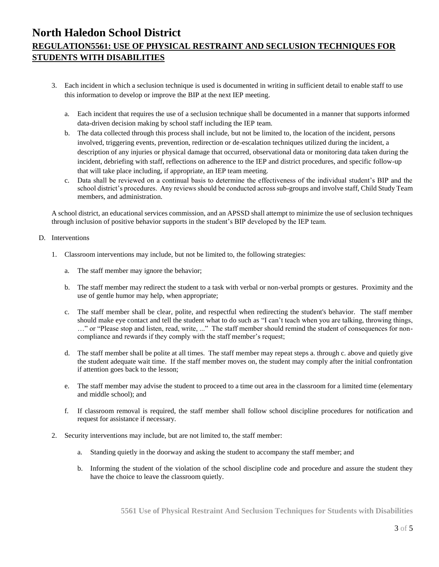- 3. Each incident in which a seclusion technique is used is documented in writing in sufficient detail to enable staff to use this information to develop or improve the BIP at the next IEP meeting.
	- a. Each incident that requires the use of a seclusion technique shall be documented in a manner that supports informed data-driven decision making by school staff including the IEP team.
	- b. The data collected through this process shall include, but not be limited to, the location of the incident, persons involved, triggering events, prevention, redirection or de-escalation techniques utilized during the incident, a description of any injuries or physical damage that occurred, observational data or monitoring data taken during the incident, debriefing with staff, reflections on adherence to the IEP and district procedures, and specific follow-up that will take place including, if appropriate, an IEP team meeting.
	- c. Data shall be reviewed on a continual basis to determine the effectiveness of the individual student's BIP and the school district's procedures. Any reviews should be conducted across sub-groups and involve staff, Child Study Team members, and administration.

A school district, an educational services commission, and an APSSD shall attempt to minimize the use of seclusion techniques through inclusion of positive behavior supports in the student's BIP developed by the IEP team.

- D. Interventions
	- 1. Classroom interventions may include, but not be limited to, the following strategies:
		- a. The staff member may ignore the behavior;
		- b. The staff member may redirect the student to a task with verbal or non-verbal prompts or gestures. Proximity and the use of gentle humor may help, when appropriate;
		- c. The staff member shall be clear, polite, and respectful when redirecting the student's behavior. The staff member should make eye contact and tell the student what to do such as "I can't teach when you are talking, throwing things, …" or "Please stop and listen, read, write, ..." The staff member should remind the student of consequences for noncompliance and rewards if they comply with the staff member's request;
		- d. The staff member shall be polite at all times. The staff member may repeat steps a. through c. above and quietly give the student adequate wait time. If the staff member moves on, the student may comply after the initial confrontation if attention goes back to the lesson;
		- e. The staff member may advise the student to proceed to a time out area in the classroom for a limited time (elementary and middle school); and
		- f. If classroom removal is required, the staff member shall follow school discipline procedures for notification and request for assistance if necessary.
	- 2. Security interventions may include, but are not limited to, the staff member:
		- a. Standing quietly in the doorway and asking the student to accompany the staff member; and
		- b. Informing the student of the violation of the school discipline code and procedure and assure the student they have the choice to leave the classroom quietly.

**5561 Use of Physical Restraint And Seclusion Techniques for Students with Disabilities**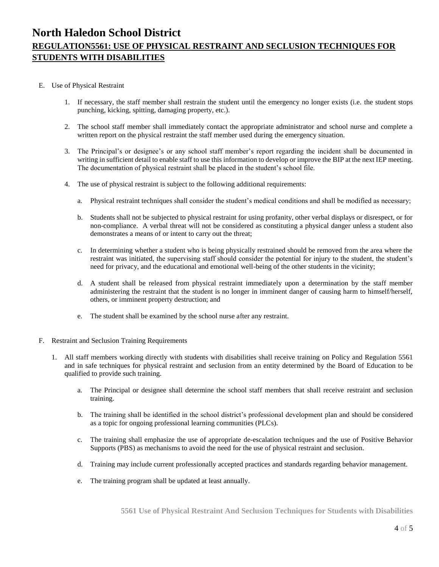#### E. Use of Physical Restraint

- 1. If necessary, the staff member shall restrain the student until the emergency no longer exists (i.e. the student stops punching, kicking, spitting, damaging property, etc.).
- 2. The school staff member shall immediately contact the appropriate administrator and school nurse and complete a written report on the physical restraint the staff member used during the emergency situation.
- 3. The Principal's or designee's or any school staff member's report regarding the incident shall be documented in writing in sufficient detail to enable staff to use this information to develop or improve the BIP at the next IEP meeting. The documentation of physical restraint shall be placed in the student's school file.
- 4. The use of physical restraint is subject to the following additional requirements:
	- a. Physical restraint techniques shall consider the student's medical conditions and shall be modified as necessary;
	- b. Students shall not be subjected to physical restraint for using profanity, other verbal displays or disrespect, or for non-compliance. A verbal threat will not be considered as constituting a physical danger unless a student also demonstrates a means of or intent to carry out the threat;
	- c. In determining whether a student who is being physically restrained should be removed from the area where the restraint was initiated, the supervising staff should consider the potential for injury to the student, the student's need for privacy, and the educational and emotional well-being of the other students in the vicinity;
	- d. A student shall be released from physical restraint immediately upon a determination by the staff member administering the restraint that the student is no longer in imminent danger of causing harm to himself/herself, others, or imminent property destruction; and
	- e. The student shall be examined by the school nurse after any restraint.
- F. Restraint and Seclusion Training Requirements
	- 1. All staff members working directly with students with disabilities shall receive training on Policy and Regulation 5561 and in safe techniques for physical restraint and seclusion from an entity determined by the Board of Education to be qualified to provide such training.
		- a. The Principal or designee shall determine the school staff members that shall receive restraint and seclusion training.
		- b. The training shall be identified in the school district's professional development plan and should be considered as a topic for ongoing professional learning communities (PLCs).
		- c. The training shall emphasize the use of appropriate de-escalation techniques and the use of Positive Behavior Supports (PBS) as mechanisms to avoid the need for the use of physical restraint and seclusion.
		- d. Training may include current professionally accepted practices and standards regarding behavior management.
		- e. The training program shall be updated at least annually.

**5561 Use of Physical Restraint And Seclusion Techniques for Students with Disabilities**